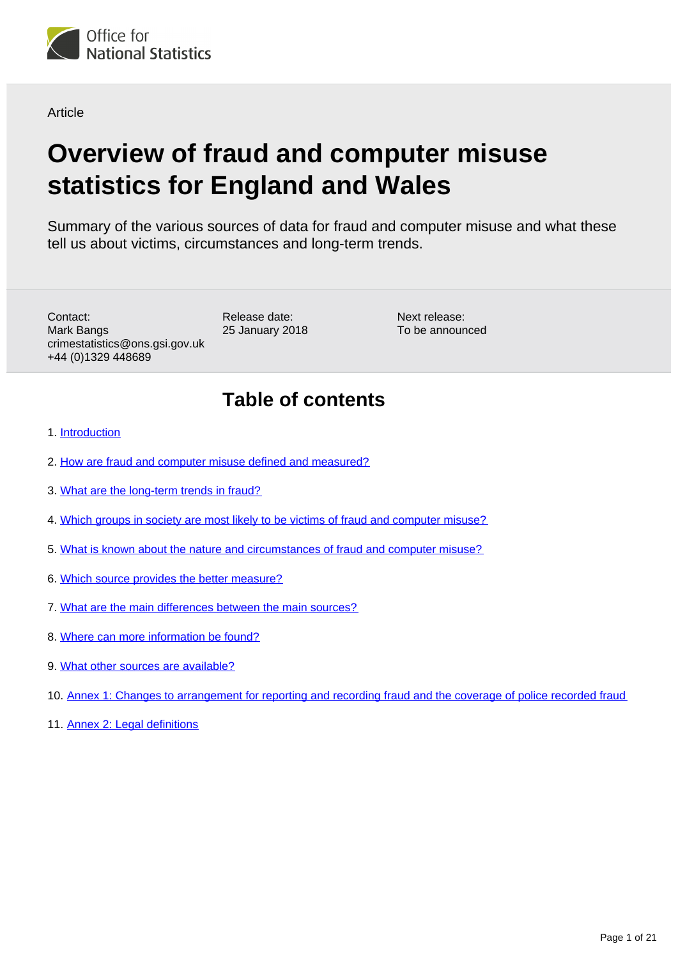

Article

# **Overview of fraud and computer misuse statistics for England and Wales**

Summary of the various sources of data for fraud and computer misuse and what these tell us about victims, circumstances and long-term trends.

Contact: Mark Bangs crimestatistics@ons.gsi.gov.uk +44 (0)1329 448689

Release date: 25 January 2018

Next release: To be announced

## **Table of contents**

- 1. [Introduction](#page-1-0)
- 2. [How are fraud and computer misuse defined and measured?](#page-1-1)
- 3. [What are the long-term trends in fraud?](#page-3-0)
- 4. [Which groups in society are most likely to be victims of fraud and computer misuse?](#page-7-0)
- 5. [What is known about the nature and circumstances of fraud and computer misuse?](#page-8-0)
- 6. [Which source provides the better measure?](#page-10-0)
- 7. [What are the main differences between the main sources?](#page-11-0)
- 8. [Where can more information be found?](#page-14-0)
- 9. [What other sources are available?](#page-15-0)
- 10. [Annex 1: Changes to arrangement for reporting and recording fraud and the coverage of police recorded fraud](#page-17-0)
- 11. [Annex 2: Legal definitions](#page-18-0)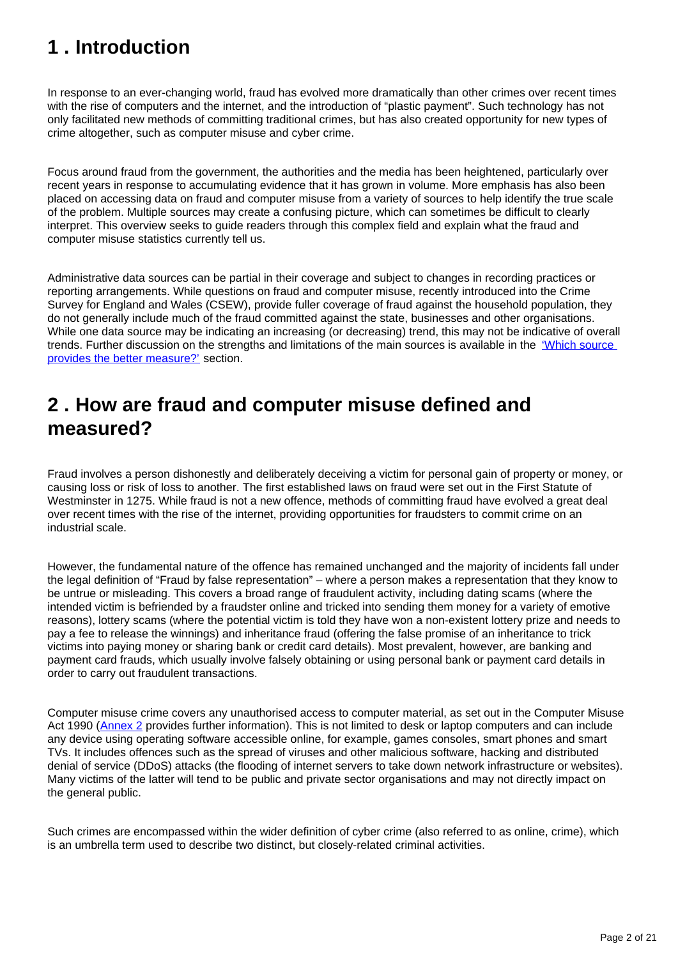## <span id="page-1-0"></span>**1 . Introduction**

In response to an ever-changing world, fraud has evolved more dramatically than other crimes over recent times with the rise of computers and the internet, and the introduction of "plastic payment". Such technology has not only facilitated new methods of committing traditional crimes, but has also created opportunity for new types of crime altogether, such as computer misuse and cyber crime.

Focus around fraud from the government, the authorities and the media has been heightened, particularly over recent years in response to accumulating evidence that it has grown in volume. More emphasis has also been placed on accessing data on fraud and computer misuse from a variety of sources to help identify the true scale of the problem. Multiple sources may create a confusing picture, which can sometimes be difficult to clearly interpret. This overview seeks to guide readers through this complex field and explain what the fraud and computer misuse statistics currently tell us.

Administrative data sources can be partial in their coverage and subject to changes in recording practices or reporting arrangements. While questions on fraud and computer misuse, recently introduced into the Crime Survey for England and Wales (CSEW), provide fuller coverage of fraud against the household population, they do not generally include much of the fraud committed against the state, businesses and other organisations. While one data source may be indicating an increasing (or decreasing) trend, this may not be indicative of overall trends. Further discussion on the strengths and limitations of the main sources is available in the ['Which source](https://publishing.onsdigital.co.uk/peoplepopulationandcommunity/crimeandjustice/articles/overviewoffraudandcomputermisusestatisticsforenglandandwales/2018-01-25#which-source-provides-the-better-measure)  [provides the better measure?'](https://publishing.onsdigital.co.uk/peoplepopulationandcommunity/crimeandjustice/articles/overviewoffraudandcomputermisusestatisticsforenglandandwales/2018-01-25#which-source-provides-the-better-measure) section.

## <span id="page-1-1"></span>**2 . How are fraud and computer misuse defined and measured?**

Fraud involves a person dishonestly and deliberately deceiving a victim for personal gain of property or money, or causing loss or risk of loss to another. The first established laws on fraud were set out in the First Statute of Westminster in 1275. While fraud is not a new offence, methods of committing fraud have evolved a great deal over recent times with the rise of the internet, providing opportunities for fraudsters to commit crime on an industrial scale.

However, the fundamental nature of the offence has remained unchanged and the majority of incidents fall under the legal definition of "Fraud by false representation" – where a person makes a representation that they know to be untrue or misleading. This covers a broad range of fraudulent activity, including dating scams (where the intended victim is befriended by a fraudster online and tricked into sending them money for a variety of emotive reasons), lottery scams (where the potential victim is told they have won a non-existent lottery prize and needs to pay a fee to release the winnings) and inheritance fraud (offering the false promise of an inheritance to trick victims into paying money or sharing bank or credit card details). Most prevalent, however, are banking and payment card frauds, which usually involve falsely obtaining or using personal bank or payment card details in order to carry out fraudulent transactions.

Computer misuse crime covers any unauthorised access to computer material, as set out in the Computer Misuse Act 1990 ([Annex 2](https://publishing.onsdigital.co.uk/peoplepopulationandcommunity/crimeandjustice/articles/overviewoffraudandcomputermisusestatisticsforenglandandwales/2018-01-25#annex-2-legal-definitions) provides further information). This is not limited to desk or laptop computers and can include any device using operating software accessible online, for example, games consoles, smart phones and smart TVs. It includes offences such as the spread of viruses and other malicious software, hacking and distributed denial of service (DDoS) attacks (the flooding of internet servers to take down network infrastructure or websites). Many victims of the latter will tend to be public and private sector organisations and may not directly impact on the general public.

Such crimes are encompassed within the wider definition of cyber crime (also referred to as online, crime), which is an umbrella term used to describe two distinct, but closely-related criminal activities.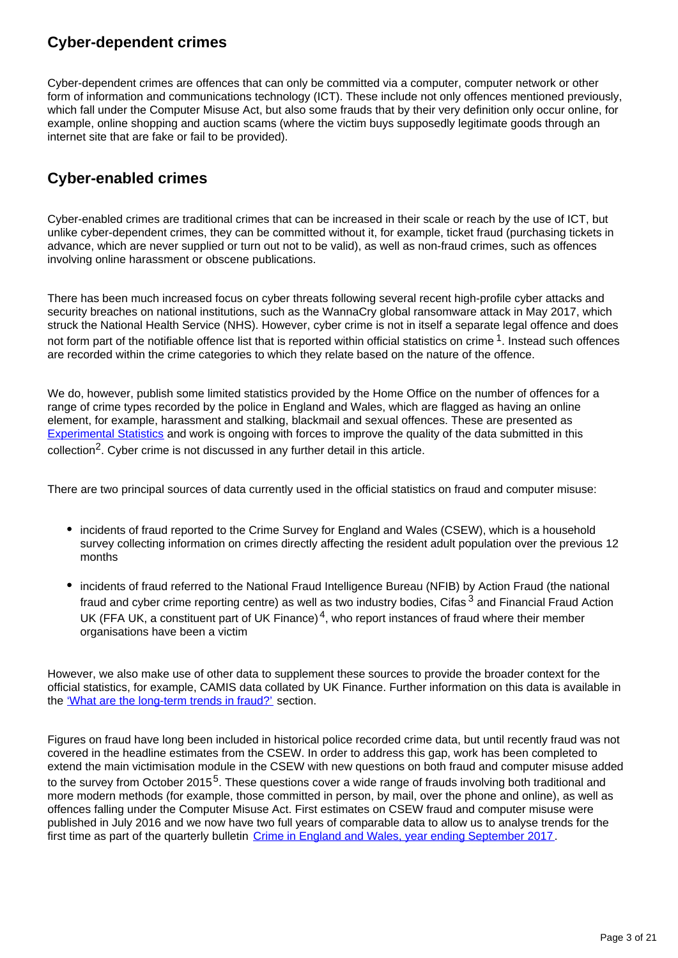## **Cyber-dependent crimes**

Cyber-dependent crimes are offences that can only be committed via a computer, computer network or other form of information and communications technology (ICT). These include not only offences mentioned previously, which fall under the Computer Misuse Act, but also some frauds that by their very definition only occur online, for example, online shopping and auction scams (where the victim buys supposedly legitimate goods through an internet site that are fake or fail to be provided).

## **Cyber-enabled crimes**

Cyber-enabled crimes are traditional crimes that can be increased in their scale or reach by the use of ICT, but unlike cyber-dependent crimes, they can be committed without it, for example, ticket fraud (purchasing tickets in advance, which are never supplied or turn out not to be valid), as well as non-fraud crimes, such as offences involving online harassment or obscene publications.

There has been much increased focus on cyber threats following several recent high-profile cyber attacks and security breaches on national institutions, such as the WannaCry global ransomware attack in May 2017, which struck the National Health Service (NHS). However, cyber crime is not in itself a separate legal offence and does not form part of the notifiable offence list that is reported within official statistics on crime  $1$ . Instead such offences are recorded within the crime categories to which they relate based on the nature of the offence.

We do, however, publish some limited statistics provided by the Home Office on the number of offences for a range of crime types recorded by the police in England and Wales, which are flagged as having an online element, for example, harassment and stalking, blackmail and sexual offences. These are presented as [Experimental Statistics](https://www.ons.gov.uk/methodology/methodologytopicsandstatisticalconcepts/guidetoexperimentalstatistics) and work is ongoing with forces to improve the quality of the data submitted in this  $\text{collection}^2$ . Cyber crime is not discussed in any further detail in this article.

There are two principal sources of data currently used in the official statistics on fraud and computer misuse:

- incidents of fraud reported to the Crime Survey for England and Wales (CSEW), which is a household survey collecting information on crimes directly affecting the resident adult population over the previous 12 months
- incidents of fraud referred to the National Fraud Intelligence Bureau (NFIB) by Action Fraud (the national fraud and cyber crime reporting centre) as well as two industry bodies, Cifas<sup>3</sup> and Financial Fraud Action UK (FFA UK, a constituent part of UK Finance)<sup>4</sup>, who report instances of fraud where their member organisations have been a victim

However, we also make use of other data to supplement these sources to provide the broader context for the official statistics, for example, CAMIS data collated by UK Finance. Further information on this data is available in the ['What are the long-term trends in fraud?'](https://publishing.onsdigital.co.uk/peoplepopulationandcommunity/crimeandjustice/articles/overviewoffraudandcomputermisusestatisticsforenglandandwales/2018-01-25#what-are-the-long-term-trends-in-fraud) section.

Figures on fraud have long been included in historical police recorded crime data, but until recently fraud was not covered in the headline estimates from the CSEW. In order to address this gap, work has been completed to extend the main victimisation module in the CSEW with new questions on both fraud and computer misuse added to the survey from October 2015<sup>5</sup>. These questions cover a wide range of frauds involving both traditional and more modern methods (for example, those committed in person, by mail, over the phone and online), as well as offences falling under the Computer Misuse Act. First estimates on CSEW fraud and computer misuse were published in July 2016 and we now have two full years of comparable data to allow us to analyse trends for the first time as part of the quarterly bulletin [Crime in England and Wales, year ending September 2017.](https://www.ons.gov.uk/peoplepopulationandcommunity/crimeandjustice)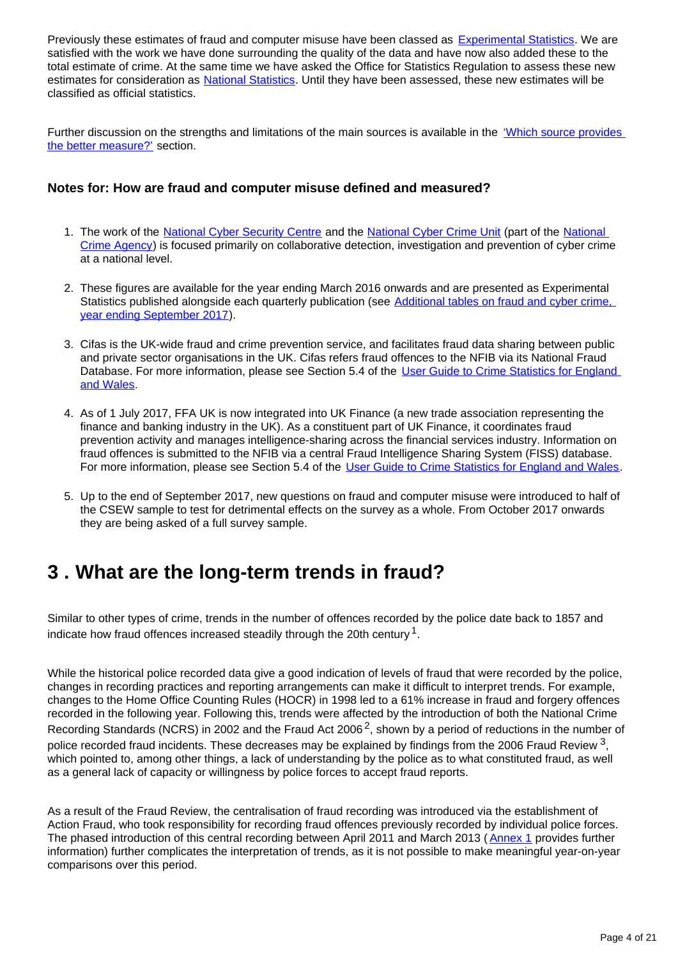Previously these estimates of fraud and computer misuse have been classed as **Experimental Statistics**. We are satisfied with the work we have done surrounding the quality of the data and have now also added these to the total estimate of crime. At the same time we have asked the Office for Statistics Regulation to assess these new estimates for consideration as [National Statistics](https://www.statisticsauthority.gov.uk/national-statistician/types-of-official-statistics/). Until they have been assessed, these new estimates will be classified as official statistics.

Further discussion on the strengths and limitations of the main sources is available in the ['Which source provides](https://publishing.onsdigital.co.uk/peoplepopulationandcommunity/crimeandjustice/articles/overviewoffraudandcomputermisusestatisticsforenglandandwales/2018-01-25#which-source-provides-the-better-measure)  [the better measure?'](https://publishing.onsdigital.co.uk/peoplepopulationandcommunity/crimeandjustice/articles/overviewoffraudandcomputermisusestatisticsforenglandandwales/2018-01-25#which-source-provides-the-better-measure) section.

#### **Notes for: How are fraud and computer misuse defined and measured?**

- 1. The work of the [National Cyber Security Centre](https://www.ncsc.gov.uk/report/cyber-threat-uk-business) and the [National Cyber Crime Unit](http://www.nationalcrimeagency.gov.uk/about-us/what-we-do/national-cyber-crime-unit) (part of the National [Crime Agency](http://www.nationalcrimeagency.gov.uk/)) is focused primarily on collaborative detection, investigation and prevention of cyber crime at a national level.
- 2. These figures are available for the year ending March 2016 onwards and are presented as Experimental Statistics published alongside each quarterly publication (see Additional tables on fraud and cyber crime, [year ending September 2017](https://www.ons.gov.uk/peoplepopulationandcommunity/crimeandjustice/datasets/crimeinenglandandwalesexperimentaltables)).
- 3. Cifas is the UK-wide fraud and crime prevention service, and facilitates fraud data sharing between public and private sector organisations in the UK. Cifas refers fraud offences to the NFIB via its National Fraud Database. For more information, please see Section 5.4 of the User Guide to Crime Statistics for England [and Wales](https://www.ons.gov.uk/peoplepopulationandcommunity/crimeandjustice/methodologies/crimeandjusticemethodology).
- 4. As of 1 July 2017, FFA UK is now integrated into UK Finance (a new trade association representing the finance and banking industry in the UK). As a constituent part of UK Finance, it coordinates fraud prevention activity and manages intelligence-sharing across the financial services industry. Information on fraud offences is submitted to the NFIB via a central Fraud Intelligence Sharing System (FISS) database. For more information, please see Section 5.4 of the [User Guide to Crime Statistics for England and Wales](https://www.ons.gov.uk/peoplepopulationandcommunity/crimeandjustice/methodologies/crimeandjusticemethodology).
- 5. Up to the end of September 2017, new questions on fraud and computer misuse were introduced to half of the CSEW sample to test for detrimental effects on the survey as a whole. From October 2017 onwards they are being asked of a full survey sample.

## <span id="page-3-0"></span>**3 . What are the long-term trends in fraud?**

Similar to other types of crime, trends in the number of offences recorded by the police date back to 1857 and indicate how fraud offences increased steadily through the 20th century  $^1$ .

While the historical police recorded data give a good indication of levels of fraud that were recorded by the police, changes in recording practices and reporting arrangements can make it difficult to interpret trends. For example, changes to the Home Office Counting Rules (HOCR) in 1998 led to a 61% increase in fraud and forgery offences recorded in the following year. Following this, trends were affected by the introduction of both the National Crime Recording Standards (NCRS) in 2002 and the Fraud Act 2006<sup>2</sup>, shown by a period of reductions in the number of police recorded fraud incidents. These decreases may be explained by findings from the 2006 Fraud Review  $^3$ , which pointed to, among other things, a lack of understanding by the police as to what constituted fraud, as well as a general lack of capacity or willingness by police forces to accept fraud reports.

As a result of the Fraud Review, the centralisation of fraud recording was introduced via the establishment of Action Fraud, who took responsibility for recording fraud offences previously recorded by individual police forces. The phased introduction of this central recording between April 2011 and March 2013 ([Annex 1](https://publishing.onsdigital.co.uk/peoplepopulationandcommunity/crimeandjustice/articles/overviewoffraudandcomputermisusestatisticsforenglandandwales/2018-01-25#annex-1-changes-to-arrangement-for-reporting-and-recording-fraud-and-the-coverage-of-police-recorded-fraud) provides further information) further complicates the interpretation of trends, as it is not possible to make meaningful year-on-year comparisons over this period.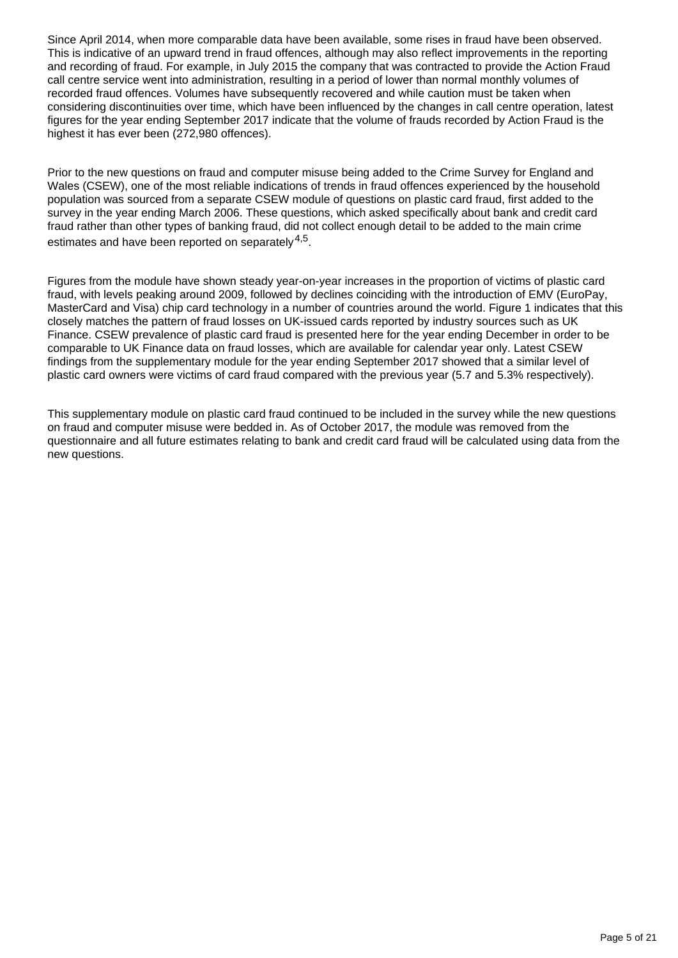Since April 2014, when more comparable data have been available, some rises in fraud have been observed. This is indicative of an upward trend in fraud offences, although may also reflect improvements in the reporting and recording of fraud. For example, in July 2015 the company that was contracted to provide the Action Fraud call centre service went into administration, resulting in a period of lower than normal monthly volumes of recorded fraud offences. Volumes have subsequently recovered and while caution must be taken when considering discontinuities over time, which have been influenced by the changes in call centre operation, latest figures for the year ending September 2017 indicate that the volume of frauds recorded by Action Fraud is the highest it has ever been (272,980 offences).

Prior to the new questions on fraud and computer misuse being added to the Crime Survey for England and Wales (CSEW), one of the most reliable indications of trends in fraud offences experienced by the household population was sourced from a separate CSEW module of questions on plastic card fraud, first added to the survey in the year ending March 2006. These questions, which asked specifically about bank and credit card fraud rather than other types of banking fraud, did not collect enough detail to be added to the main crime estimates and have been reported on separately  $4.5$ .

Figures from the module have shown steady year-on-year increases in the proportion of victims of plastic card fraud, with levels peaking around 2009, followed by declines coinciding with the introduction of EMV (EuroPay, MasterCard and Visa) chip card technology in a number of countries around the world. Figure 1 indicates that this closely matches the pattern of fraud losses on UK-issued cards reported by industry sources such as UK Finance. CSEW prevalence of plastic card fraud is presented here for the year ending December in order to be comparable to UK Finance data on fraud losses, which are available for calendar year only. Latest CSEW findings from the supplementary module for the year ending September 2017 showed that a similar level of plastic card owners were victims of card fraud compared with the previous year (5.7 and 5.3% respectively).

This supplementary module on plastic card fraud continued to be included in the survey while the new questions on fraud and computer misuse were bedded in. As of October 2017, the module was removed from the questionnaire and all future estimates relating to bank and credit card fraud will be calculated using data from the new questions.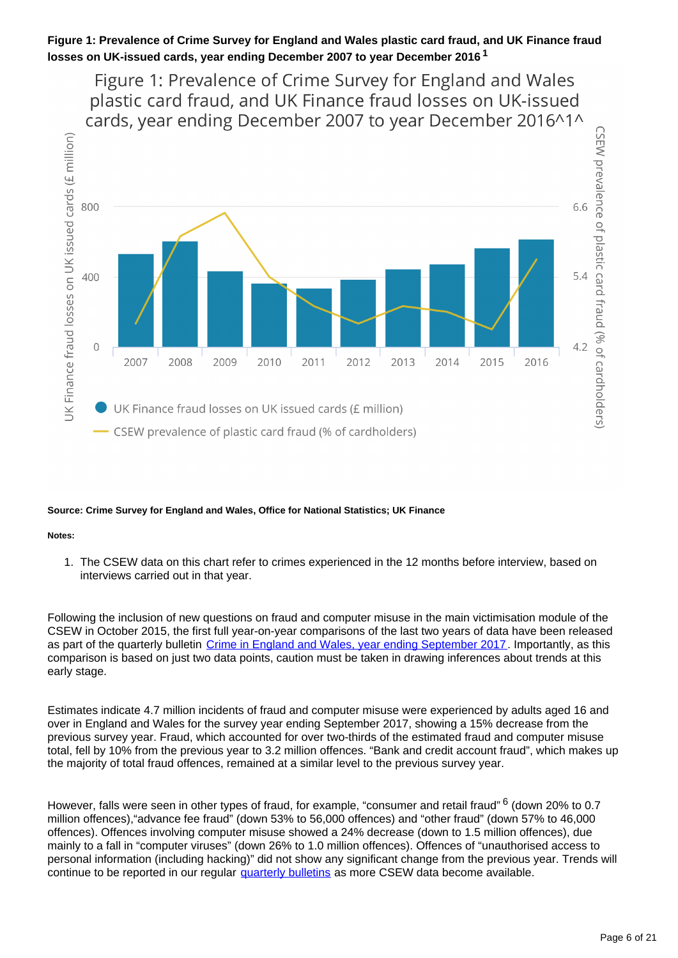



#### **Source: Crime Survey for England and Wales, Office for National Statistics; UK Finance**

#### **Notes:**

1. The CSEW data on this chart refer to crimes experienced in the 12 months before interview, based on interviews carried out in that year.

Following the inclusion of new questions on fraud and computer misuse in the main victimisation module of the CSEW in October 2015, the first full year-on-year comparisons of the last two years of data have been released as part of the quarterly bulletin [Crime in England and Wales, year ending September 2017.](https://www.ons.gov.uk/peoplepopulationandcommunity/crimeandjustice) Importantly, as this comparison is based on just two data points, caution must be taken in drawing inferences about trends at this early stage.

Estimates indicate 4.7 million incidents of fraud and computer misuse were experienced by adults aged 16 and over in England and Wales for the survey year ending September 2017, showing a 15% decrease from the previous survey year. Fraud, which accounted for over two-thirds of the estimated fraud and computer misuse total, fell by 10% from the previous year to 3.2 million offences. "Bank and credit account fraud", which makes up the majority of total fraud offences, remained at a similar level to the previous survey year.

However, falls were seen in other types of fraud, for example, "consumer and retail fraud" <sup>6</sup> (down 20% to 0.7 million offences),"advance fee fraud" (down 53% to 56,000 offences) and "other fraud" (down 57% to 46,000 offences). Offences involving computer misuse showed a 24% decrease (down to 1.5 million offences), due mainly to a fall in "computer viruses" (down 26% to 1.0 million offences). Offences of "unauthorised access to personal information (including hacking)" did not show any significant change from the previous year. Trends will continue to be reported in our regular *quarterly bulletins* as more CSEW data become available.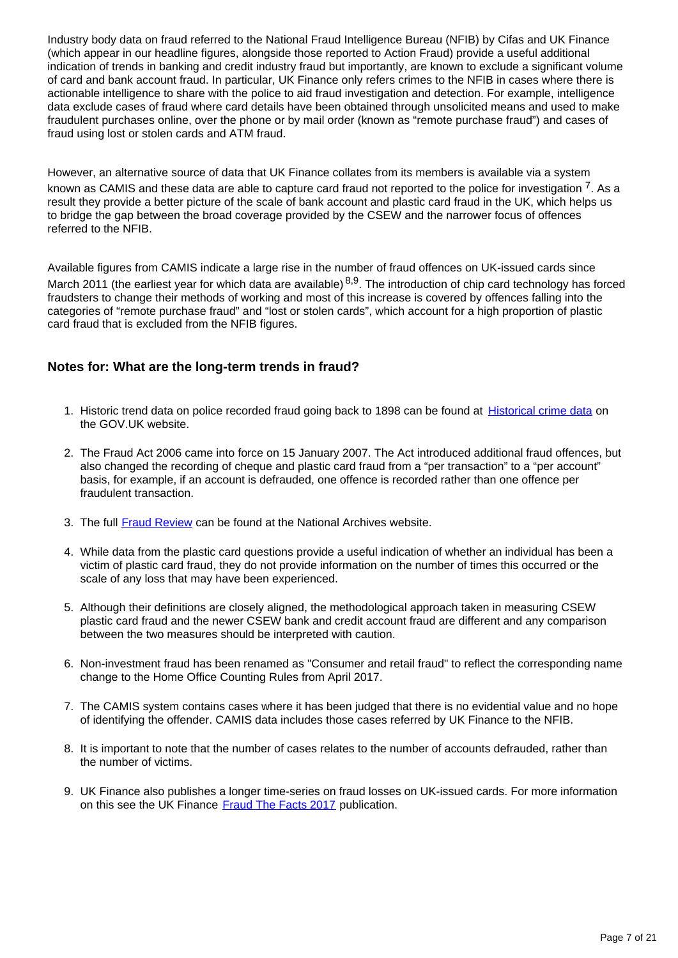Industry body data on fraud referred to the National Fraud Intelligence Bureau (NFIB) by Cifas and UK Finance (which appear in our headline figures, alongside those reported to Action Fraud) provide a useful additional indication of trends in banking and credit industry fraud but importantly, are known to exclude a significant volume of card and bank account fraud. In particular, UK Finance only refers crimes to the NFIB in cases where there is actionable intelligence to share with the police to aid fraud investigation and detection. For example, intelligence data exclude cases of fraud where card details have been obtained through unsolicited means and used to make fraudulent purchases online, over the phone or by mail order (known as "remote purchase fraud") and cases of fraud using lost or stolen cards and ATM fraud.

However, an alternative source of data that UK Finance collates from its members is available via a system known as CAMIS and these data are able to capture card fraud not reported to the police for investigation  $7$ . As a result they provide a better picture of the scale of bank account and plastic card fraud in the UK, which helps us to bridge the gap between the broad coverage provided by the CSEW and the narrower focus of offences referred to the NFIB.

Available figures from CAMIS indicate a large rise in the number of fraud offences on UK-issued cards since March 2011 (the earliest year for which data are available)  $8.9$ . The introduction of chip card technology has forced fraudsters to change their methods of working and most of this increase is covered by offences falling into the categories of "remote purchase fraud" and "lost or stolen cards", which account for a high proportion of plastic card fraud that is excluded from the NFIB figures.

#### **Notes for: What are the long-term trends in fraud?**

- 1. Historic trend data on police recorded fraud going back to 1898 can be found at **Historical crime data** on the GOV.UK website.
- 2. The Fraud Act 2006 came into force on 15 January 2007. The Act introduced additional fraud offences, but also changed the recording of cheque and plastic card fraud from a "per transaction" to a "per account" basis, for example, if an account is defrauded, one offence is recorded rather than one offence per fraudulent transaction.
- 3. The full [Fraud Review](http://webarchive.nationalarchives.gov.uk/20120816224015/http:/www.lslo.gov.uk/pdf/FraudReview.pdf) can be found at the National Archives website.
- 4. While data from the plastic card questions provide a useful indication of whether an individual has been a victim of plastic card fraud, they do not provide information on the number of times this occurred or the scale of any loss that may have been experienced.
- 5. Although their definitions are closely aligned, the methodological approach taken in measuring CSEW plastic card fraud and the newer CSEW bank and credit account fraud are different and any comparison between the two measures should be interpreted with caution.
- 6. Non-investment fraud has been renamed as "Consumer and retail fraud" to reflect the corresponding name change to the Home Office Counting Rules from April 2017.
- 7. The CAMIS system contains cases where it has been judged that there is no evidential value and no hope of identifying the offender. CAMIS data includes those cases referred by UK Finance to the NFIB.
- 8. It is important to note that the number of cases relates to the number of accounts defrauded, rather than the number of victims.
- 9. UK Finance also publishes a longer time-series on fraud losses on UK-issued cards. For more information on this see the UK Finance [Fraud The Facts 2017](https://www.financialfraudaction.org.uk/publications/) publication.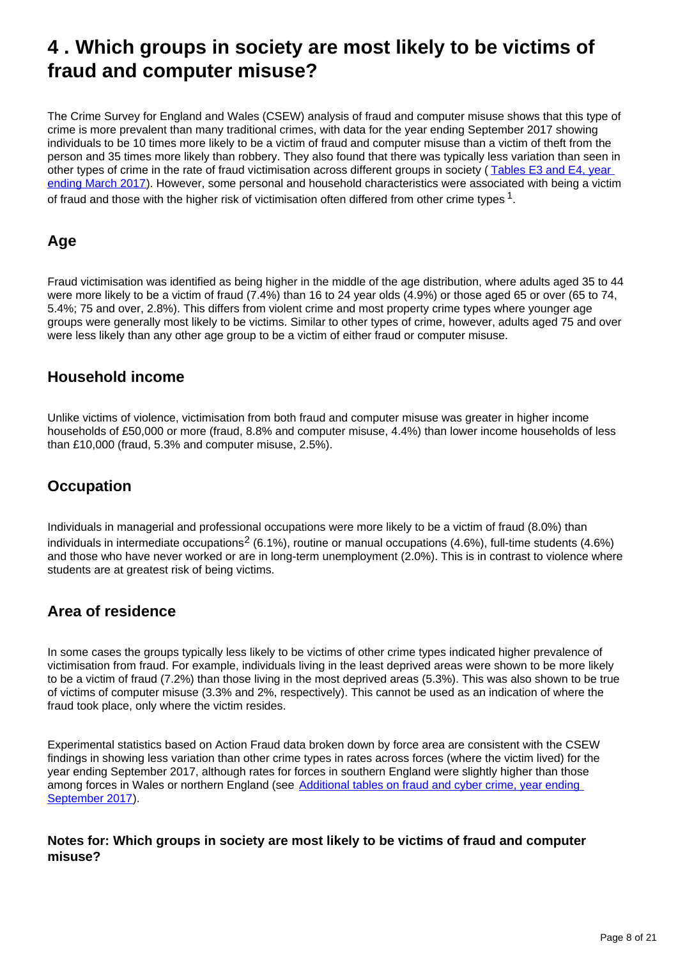## <span id="page-7-0"></span>**4 . Which groups in society are most likely to be victims of fraud and computer misuse?**

The Crime Survey for England and Wales (CSEW) analysis of fraud and computer misuse shows that this type of crime is more prevalent than many traditional crimes, with data for the year ending September 2017 showing individuals to be 10 times more likely to be a victim of fraud and computer misuse than a victim of theft from the person and 35 times more likely than robbery. They also found that there was typically less variation than seen in other types of crime in the rate of fraud victimisation across different groups in society ( [Tables E3 and E4, year](https://www.ons.gov.uk/peoplepopulationandcommunity/crimeandjustice/datasets/crimeinenglandandwalesexperimentaltables)  [ending March 2017](https://www.ons.gov.uk/peoplepopulationandcommunity/crimeandjustice/datasets/crimeinenglandandwalesexperimentaltables)). However, some personal and household characteristics were associated with being a victim of fraud and those with the higher risk of victimisation often differed from other crime types  $^1$ .

## **Age**

Fraud victimisation was identified as being higher in the middle of the age distribution, where adults aged 35 to 44 were more likely to be a victim of fraud (7.4%) than 16 to 24 year olds (4.9%) or those aged 65 or over (65 to 74, 5.4%; 75 and over, 2.8%). This differs from violent crime and most property crime types where younger age groups were generally most likely to be victims. Similar to other types of crime, however, adults aged 75 and over were less likely than any other age group to be a victim of either fraud or computer misuse.

## **Household income**

Unlike victims of violence, victimisation from both fraud and computer misuse was greater in higher income households of £50,000 or more (fraud, 8.8% and computer misuse, 4.4%) than lower income households of less than £10,000 (fraud, 5.3% and computer misuse, 2.5%).

## **Occupation**

Individuals in managerial and professional occupations were more likely to be a victim of fraud (8.0%) than individuals in intermediate occupations<sup>2</sup> (6.1%), routine or manual occupations (4.6%), full-time students (4.6%) and those who have never worked or are in long-term unemployment (2.0%). This is in contrast to violence where students are at greatest risk of being victims.

## **Area of residence**

In some cases the groups typically less likely to be victims of other crime types indicated higher prevalence of victimisation from fraud. For example, individuals living in the least deprived areas were shown to be more likely to be a victim of fraud (7.2%) than those living in the most deprived areas (5.3%). This was also shown to be true of victims of computer misuse (3.3% and 2%, respectively). This cannot be used as an indication of where the fraud took place, only where the victim resides.

Experimental statistics based on Action Fraud data broken down by force area are consistent with the CSEW findings in showing less variation than other crime types in rates across forces (where the victim lived) for the year ending September 2017, although rates for forces in southern England were slightly higher than those among forces in Wales or northern England (see Additional tables on fraud and cyber crime, year ending [September 2017\)](https://www.ons.gov.uk/peoplepopulationandcommunity/crimeandjustice/datasets/crimeinenglandandwalesexperimentaltables).

#### **Notes for: Which groups in society are most likely to be victims of fraud and computer misuse?**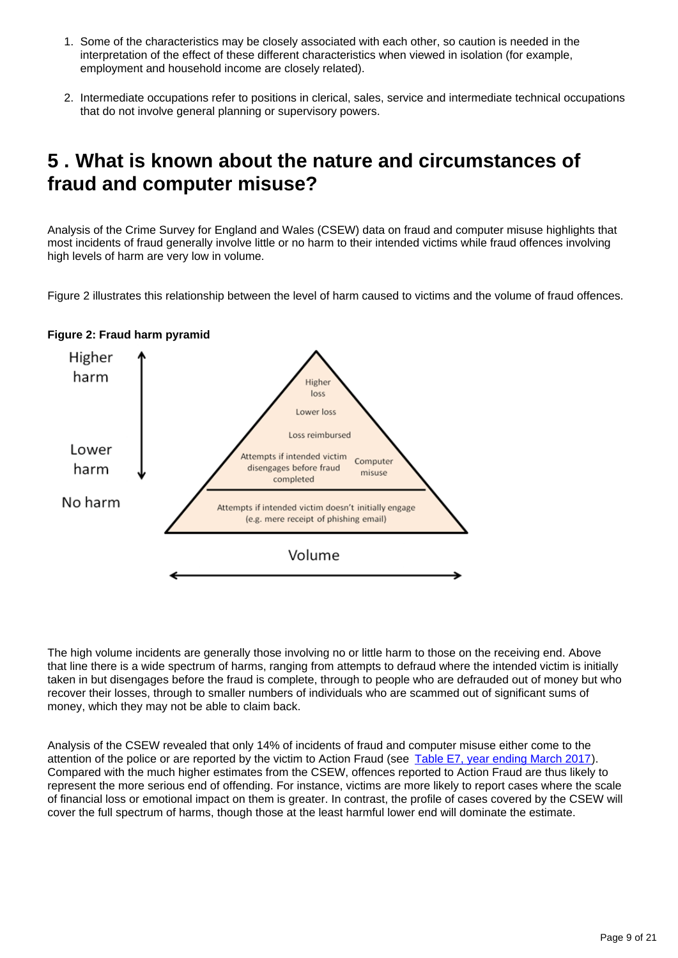- 1. Some of the characteristics may be closely associated with each other, so caution is needed in the interpretation of the effect of these different characteristics when viewed in isolation (for example, employment and household income are closely related).
- 2. Intermediate occupations refer to positions in clerical, sales, service and intermediate technical occupations that do not involve general planning or supervisory powers.

## <span id="page-8-0"></span>**5 . What is known about the nature and circumstances of fraud and computer misuse?**

Analysis of the Crime Survey for England and Wales (CSEW) data on fraud and computer misuse highlights that most incidents of fraud generally involve little or no harm to their intended victims while fraud offences involving high levels of harm are very low in volume.

Figure 2 illustrates this relationship between the level of harm caused to victims and the volume of fraud offences.



#### **Figure 2: Fraud harm pyramid**

The high volume incidents are generally those involving no or little harm to those on the receiving end. Above that line there is a wide spectrum of harms, ranging from attempts to defraud where the intended victim is initially taken in but disengages before the fraud is complete, through to people who are defrauded out of money but who recover their losses, through to smaller numbers of individuals who are scammed out of significant sums of money, which they may not be able to claim back.

Analysis of the CSEW revealed that only 14% of incidents of fraud and computer misuse either come to the attention of the police or are reported by the victim to Action Fraud (see [Table E7, year ending March 2017\)](https://www.ons.gov.uk/peoplepopulationandcommunity/crimeandjustice/datasets/crimeinenglandandwalesexperimentaltables). Compared with the much higher estimates from the CSEW, offences reported to Action Fraud are thus likely to represent the more serious end of offending. For instance, victims are more likely to report cases where the scale of financial loss or emotional impact on them is greater. In contrast, the profile of cases covered by the CSEW will cover the full spectrum of harms, though those at the least harmful lower end will dominate the estimate.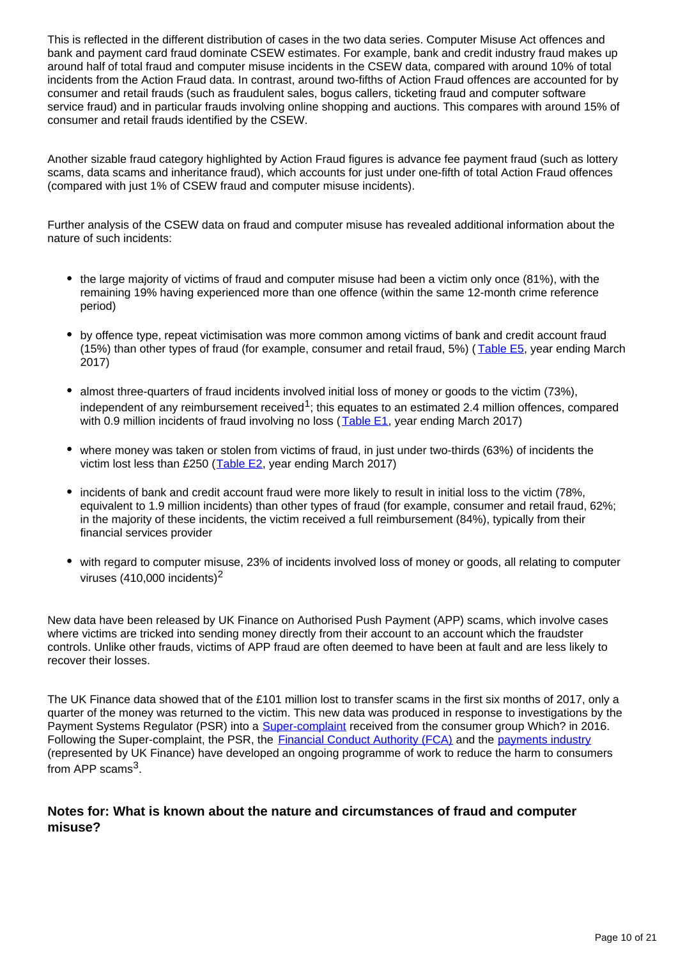This is reflected in the different distribution of cases in the two data series. Computer Misuse Act offences and bank and payment card fraud dominate CSEW estimates. For example, bank and credit industry fraud makes up around half of total fraud and computer misuse incidents in the CSEW data, compared with around 10% of total incidents from the Action Fraud data. In contrast, around two-fifths of Action Fraud offences are accounted for by consumer and retail frauds (such as fraudulent sales, bogus callers, ticketing fraud and computer software service fraud) and in particular frauds involving online shopping and auctions. This compares with around 15% of consumer and retail frauds identified by the CSEW.

Another sizable fraud category highlighted by Action Fraud figures is advance fee payment fraud (such as lottery scams, data scams and inheritance fraud), which accounts for just under one-fifth of total Action Fraud offences (compared with just 1% of CSEW fraud and computer misuse incidents).

Further analysis of the CSEW data on fraud and computer misuse has revealed additional information about the nature of such incidents:

- the large majority of victims of fraud and computer misuse had been a victim only once (81%), with the remaining 19% having experienced more than one offence (within the same 12-month crime reference period)
- by offence type, repeat victimisation was more common among victims of bank and credit account fraud (15%) than other types of fraud (for example, consumer and retail fraud, 5%) ( $\overline{\text{Table E5}}$  $\overline{\text{Table E5}}$  $\overline{\text{Table E5}}$ , year ending March 2017)
- almost three-quarters of fraud incidents involved initial loss of money or goods to the victim (73%), independent of any reimbursement received<sup>1</sup>; this equates to an estimated 2.4 million offences, compared with 0.9 million incidents of fraud involving no loss ([Table E1](https://www.ons.gov.uk/peoplepopulationandcommunity/crimeandjustice/datasets/crimeinenglandandwalesexperimentaltables), year ending March 2017)
- where money was taken or stolen from victims of fraud, in just under two-thirds (63%) of incidents the victim lost less than £250 ( $Table E2$ , year ending March 2017)</u>
- incidents of bank and credit account fraud were more likely to result in initial loss to the victim (78%, equivalent to 1.9 million incidents) than other types of fraud (for example, consumer and retail fraud, 62%; in the majority of these incidents, the victim received a full reimbursement (84%), typically from their financial services provider
- with regard to computer misuse, 23% of incidents involved loss of money or goods, all relating to computer viruses  $(410,000$  incidents)<sup>2</sup>

New data have been released by UK Finance on Authorised Push Payment (APP) scams, which involve cases where victims are tricked into sending money directly from their account to an account which the fraudster controls. Unlike other frauds, victims of APP fraud are often deemed to have been at fault and are less likely to recover their losses.

The UK Finance data showed that of the £101 million lost to transfer scams in the first six months of 2017, only a quarter of the money was returned to the victim. This new data was produced in response to investigations by the Payment Systems Regulator (PSR) into a **[Super-complaint](https://www.psr.org.uk/psr-focus/which-super-complaint-payment-scams)** received from the consumer group Which? in 2016. Following the Super-complaint, the PSR, the **Financial Conduct Authority (FCA)** and the [payments industry](https://www.ukfinance.org.uk/authorised-transfer-scams-data-h12017/) (represented by UK Finance) have developed an ongoing programme of work to reduce the harm to consumers from APP scams<sup>3</sup>.

#### **Notes for: What is known about the nature and circumstances of fraud and computer misuse?**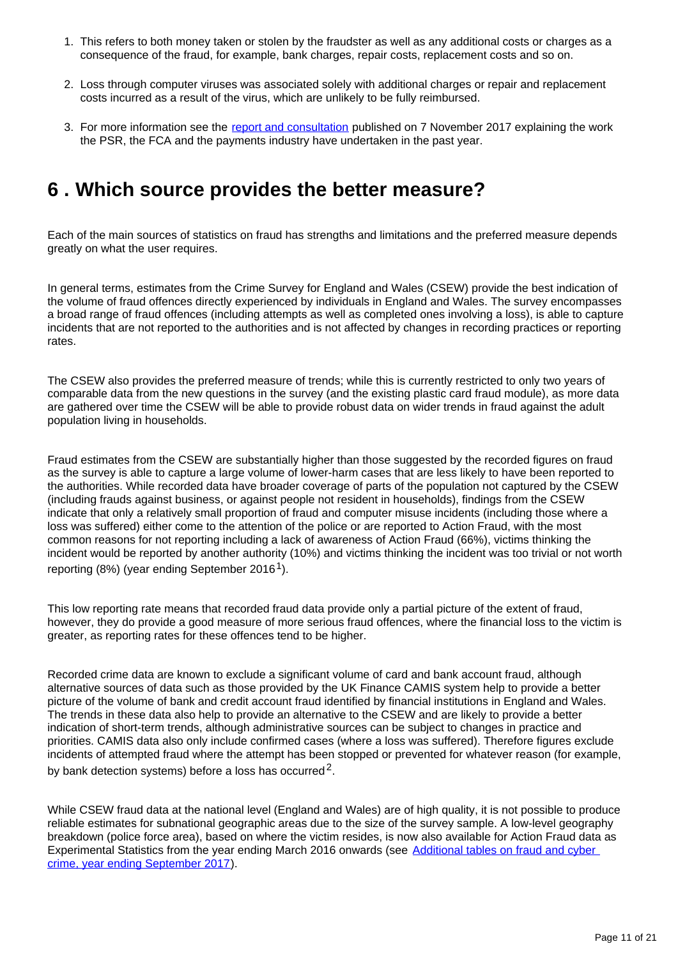- 1. This refers to both money taken or stolen by the fraudster as well as any additional costs or charges as a consequence of the fraud, for example, bank charges, repair costs, replacement costs and so on.
- 2. Loss through computer viruses was associated solely with additional charges or repair and replacement costs incurred as a result of the virus, which are unlikely to be fully reimbursed.
- 3. For more information see the [report and consultation](https://www.psr.org.uk/psr-publications/consultations/APP-scams-report-and-consultation-Nov-2017) published on 7 November 2017 explaining the work the PSR, the FCA and the payments industry have undertaken in the past year.

## <span id="page-10-0"></span>**6 . Which source provides the better measure?**

Each of the main sources of statistics on fraud has strengths and limitations and the preferred measure depends greatly on what the user requires.

In general terms, estimates from the Crime Survey for England and Wales (CSEW) provide the best indication of the volume of fraud offences directly experienced by individuals in England and Wales. The survey encompasses a broad range of fraud offences (including attempts as well as completed ones involving a loss), is able to capture incidents that are not reported to the authorities and is not affected by changes in recording practices or reporting rates.

The CSEW also provides the preferred measure of trends; while this is currently restricted to only two years of comparable data from the new questions in the survey (and the existing plastic card fraud module), as more data are gathered over time the CSEW will be able to provide robust data on wider trends in fraud against the adult population living in households.

Fraud estimates from the CSEW are substantially higher than those suggested by the recorded figures on fraud as the survey is able to capture a large volume of lower-harm cases that are less likely to have been reported to the authorities. While recorded data have broader coverage of parts of the population not captured by the CSEW (including frauds against business, or against people not resident in households), findings from the CSEW indicate that only a relatively small proportion of fraud and computer misuse incidents (including those where a loss was suffered) either come to the attention of the police or are reported to Action Fraud, with the most common reasons for not reporting including a lack of awareness of Action Fraud (66%), victims thinking the incident would be reported by another authority (10%) and victims thinking the incident was too trivial or not worth reporting (8%) (year ending September 2016<sup>1</sup>).

This low reporting rate means that recorded fraud data provide only a partial picture of the extent of fraud, however, they do provide a good measure of more serious fraud offences, where the financial loss to the victim is greater, as reporting rates for these offences tend to be higher.

Recorded crime data are known to exclude a significant volume of card and bank account fraud, although alternative sources of data such as those provided by the UK Finance CAMIS system help to provide a better picture of the volume of bank and credit account fraud identified by financial institutions in England and Wales. The trends in these data also help to provide an alternative to the CSEW and are likely to provide a better indication of short-term trends, although administrative sources can be subject to changes in practice and priorities. CAMIS data also only include confirmed cases (where a loss was suffered). Therefore figures exclude incidents of attempted fraud where the attempt has been stopped or prevented for whatever reason (for example, by bank detection systems) before a loss has occurred<sup>2</sup>.

While CSEW fraud data at the national level (England and Wales) are of high quality, it is not possible to produce reliable estimates for subnational geographic areas due to the size of the survey sample. A low-level geography breakdown (police force area), based on where the victim resides, is now also available for Action Fraud data as Experimental Statistics from the year ending March 2016 onwards (see [Additional tables on fraud and cyber](https://www.ons.gov.uk/peoplepopulationandcommunity/crimeandjustice/datasets/crimeinenglandandwalesexperimentaltables)  [crime, year ending September 2017\)](https://www.ons.gov.uk/peoplepopulationandcommunity/crimeandjustice/datasets/crimeinenglandandwalesexperimentaltables).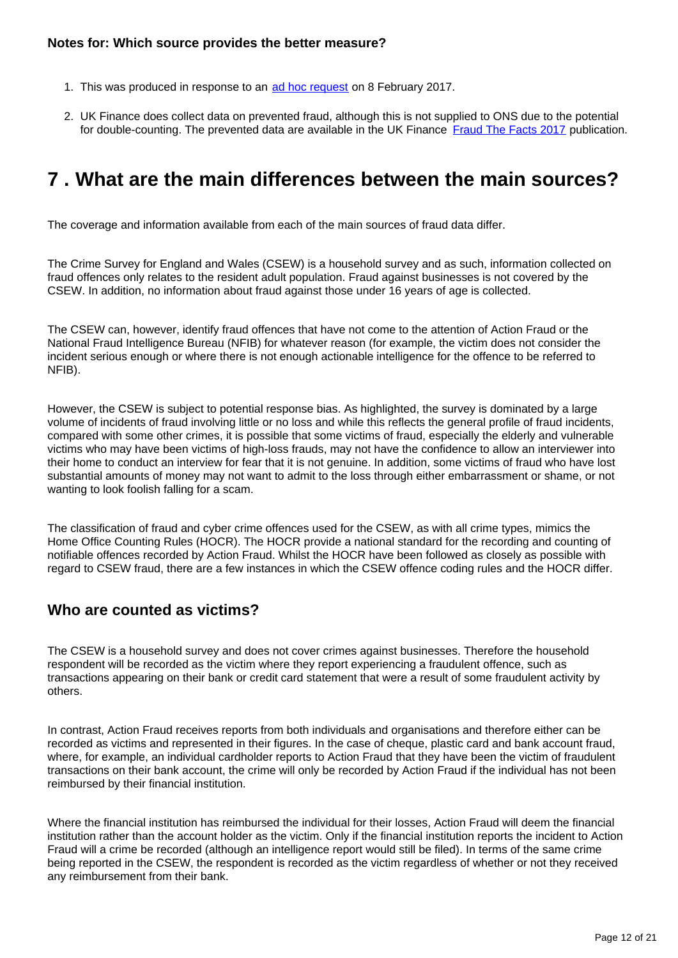- 1. This was produced in response to an [ad hoc request](https://www.ons.gov.uk/peoplepopulationandcommunity/crimeandjustice/adhocs/006626percentageofincidentsoffraudandcomputermisusereportedtoactionfraudandreasonsfornotreportingincidentstoactionfraudyearendingseptember2016csewexperimentalstatistics) on 8 February 2017.
- 2. UK Finance does collect data on prevented fraud, although this is not supplied to ONS due to the potential for double-counting. The prevented data are available in the UK Finance [Fraud The Facts 2017](https://www.financialfraudaction.org.uk/Publications/) publication.

## <span id="page-11-0"></span>**7 . What are the main differences between the main sources?**

The coverage and information available from each of the main sources of fraud data differ.

The Crime Survey for England and Wales (CSEW) is a household survey and as such, information collected on fraud offences only relates to the resident adult population. Fraud against businesses is not covered by the CSEW. In addition, no information about fraud against those under 16 years of age is collected.

The CSEW can, however, identify fraud offences that have not come to the attention of Action Fraud or the National Fraud Intelligence Bureau (NFIB) for whatever reason (for example, the victim does not consider the incident serious enough or where there is not enough actionable intelligence for the offence to be referred to NFIB).

However, the CSEW is subject to potential response bias. As highlighted, the survey is dominated by a large volume of incidents of fraud involving little or no loss and while this reflects the general profile of fraud incidents, compared with some other crimes, it is possible that some victims of fraud, especially the elderly and vulnerable victims who may have been victims of high-loss frauds, may not have the confidence to allow an interviewer into their home to conduct an interview for fear that it is not genuine. In addition, some victims of fraud who have lost substantial amounts of money may not want to admit to the loss through either embarrassment or shame, or not wanting to look foolish falling for a scam.

The classification of fraud and cyber crime offences used for the CSEW, as with all crime types, mimics the Home Office Counting Rules (HOCR). The HOCR provide a national standard for the recording and counting of notifiable offences recorded by Action Fraud. Whilst the HOCR have been followed as closely as possible with regard to CSEW fraud, there are a few instances in which the CSEW offence coding rules and the HOCR differ.

### **Who are counted as victims?**

The CSEW is a household survey and does not cover crimes against businesses. Therefore the household respondent will be recorded as the victim where they report experiencing a fraudulent offence, such as transactions appearing on their bank or credit card statement that were a result of some fraudulent activity by others.

In contrast, Action Fraud receives reports from both individuals and organisations and therefore either can be recorded as victims and represented in their figures. In the case of cheque, plastic card and bank account fraud, where, for example, an individual cardholder reports to Action Fraud that they have been the victim of fraudulent transactions on their bank account, the crime will only be recorded by Action Fraud if the individual has not been reimbursed by their financial institution.

Where the financial institution has reimbursed the individual for their losses, Action Fraud will deem the financial institution rather than the account holder as the victim. Only if the financial institution reports the incident to Action Fraud will a crime be recorded (although an intelligence report would still be filed). In terms of the same crime being reported in the CSEW, the respondent is recorded as the victim regardless of whether or not they received any reimbursement from their bank.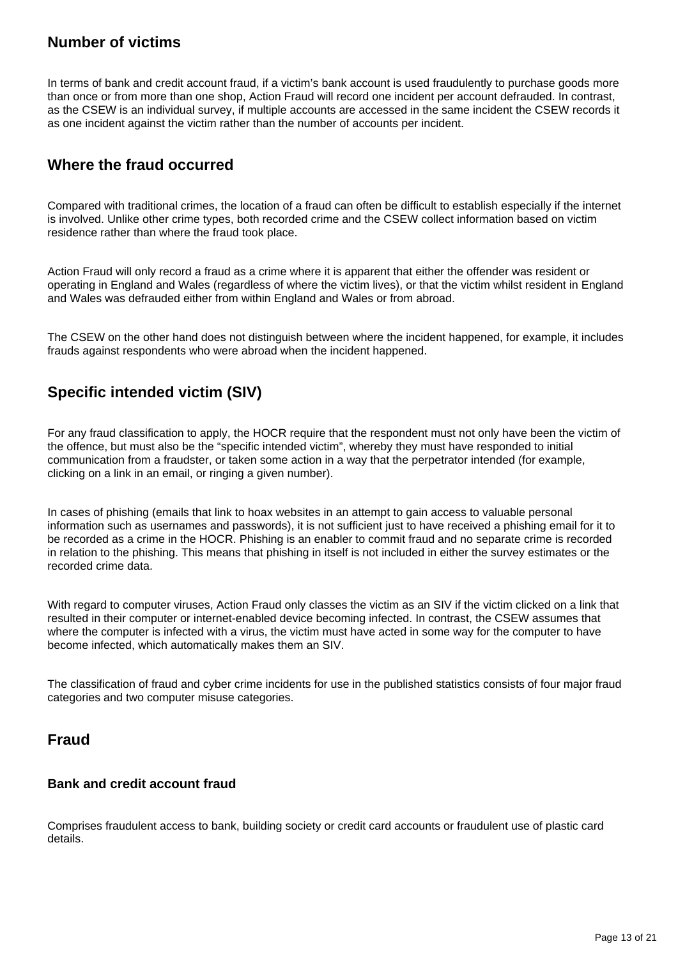## **Number of victims**

In terms of bank and credit account fraud, if a victim's bank account is used fraudulently to purchase goods more than once or from more than one shop, Action Fraud will record one incident per account defrauded. In contrast, as the CSEW is an individual survey, if multiple accounts are accessed in the same incident the CSEW records it as one incident against the victim rather than the number of accounts per incident.

### **Where the fraud occurred**

Compared with traditional crimes, the location of a fraud can often be difficult to establish especially if the internet is involved. Unlike other crime types, both recorded crime and the CSEW collect information based on victim residence rather than where the fraud took place.

Action Fraud will only record a fraud as a crime where it is apparent that either the offender was resident or operating in England and Wales (regardless of where the victim lives), or that the victim whilst resident in England and Wales was defrauded either from within England and Wales or from abroad.

The CSEW on the other hand does not distinguish between where the incident happened, for example, it includes frauds against respondents who were abroad when the incident happened.

## **Specific intended victim (SIV)**

For any fraud classification to apply, the HOCR require that the respondent must not only have been the victim of the offence, but must also be the "specific intended victim", whereby they must have responded to initial communication from a fraudster, or taken some action in a way that the perpetrator intended (for example, clicking on a link in an email, or ringing a given number).

In cases of phishing (emails that link to hoax websites in an attempt to gain access to valuable personal information such as usernames and passwords), it is not sufficient just to have received a phishing email for it to be recorded as a crime in the HOCR. Phishing is an enabler to commit fraud and no separate crime is recorded in relation to the phishing. This means that phishing in itself is not included in either the survey estimates or the recorded crime data.

With regard to computer viruses, Action Fraud only classes the victim as an SIV if the victim clicked on a link that resulted in their computer or internet-enabled device becoming infected. In contrast, the CSEW assumes that where the computer is infected with a virus, the victim must have acted in some way for the computer to have become infected, which automatically makes them an SIV.

The classification of fraud and cyber crime incidents for use in the published statistics consists of four major fraud categories and two computer misuse categories.

### **Fraud**

#### **Bank and credit account fraud**

Comprises fraudulent access to bank, building society or credit card accounts or fraudulent use of plastic card details.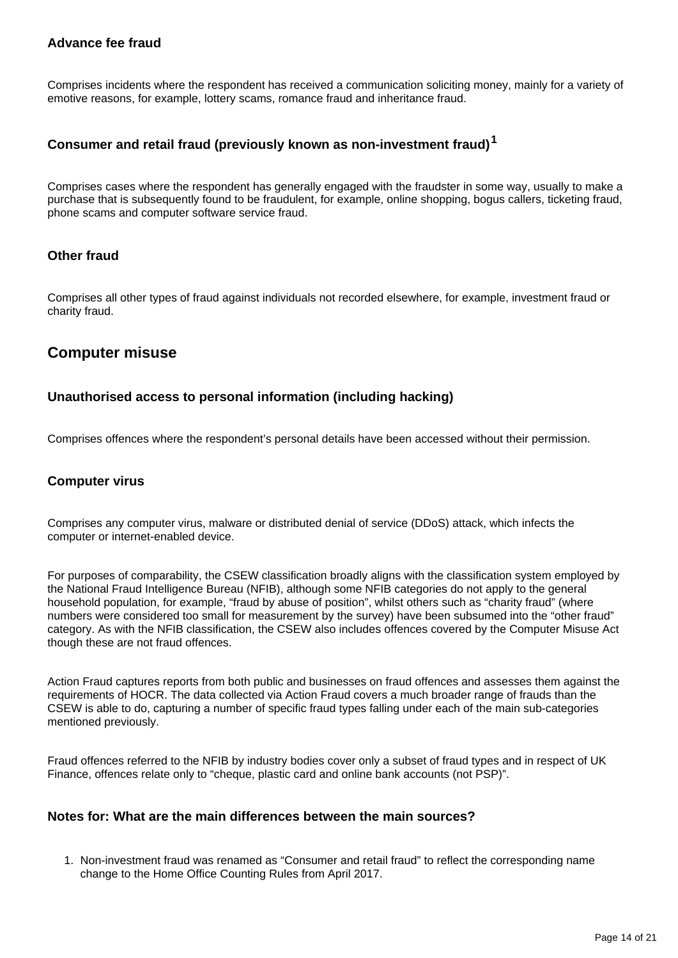#### **Advance fee fraud**

Comprises incidents where the respondent has received a communication soliciting money, mainly for a variety of emotive reasons, for example, lottery scams, romance fraud and inheritance fraud.

#### **Consumer and retail fraud (previously known as non-investment fraud)<sup>1</sup>**

Comprises cases where the respondent has generally engaged with the fraudster in some way, usually to make a purchase that is subsequently found to be fraudulent, for example, online shopping, bogus callers, ticketing fraud, phone scams and computer software service fraud.

#### **Other fraud**

Comprises all other types of fraud against individuals not recorded elsewhere, for example, investment fraud or charity fraud.

### **Computer misuse**

#### **Unauthorised access to personal information (including hacking)**

Comprises offences where the respondent's personal details have been accessed without their permission.

#### **Computer virus**

Comprises any computer virus, malware or distributed denial of service (DDoS) attack, which infects the computer or internet-enabled device.

For purposes of comparability, the CSEW classification broadly aligns with the classification system employed by the National Fraud Intelligence Bureau (NFIB), although some NFIB categories do not apply to the general household population, for example, "fraud by abuse of position", whilst others such as "charity fraud" (where numbers were considered too small for measurement by the survey) have been subsumed into the "other fraud" category. As with the NFIB classification, the CSEW also includes offences covered by the Computer Misuse Act though these are not fraud offences.

Action Fraud captures reports from both public and businesses on fraud offences and assesses them against the requirements of HOCR. The data collected via Action Fraud covers a much broader range of frauds than the CSEW is able to do, capturing a number of specific fraud types falling under each of the main sub-categories mentioned previously.

Fraud offences referred to the NFIB by industry bodies cover only a subset of fraud types and in respect of UK Finance, offences relate only to "cheque, plastic card and online bank accounts (not PSP)".

#### **Notes for: What are the main differences between the main sources?**

1. Non-investment fraud was renamed as "Consumer and retail fraud" to reflect the corresponding name change to the Home Office Counting Rules from April 2017.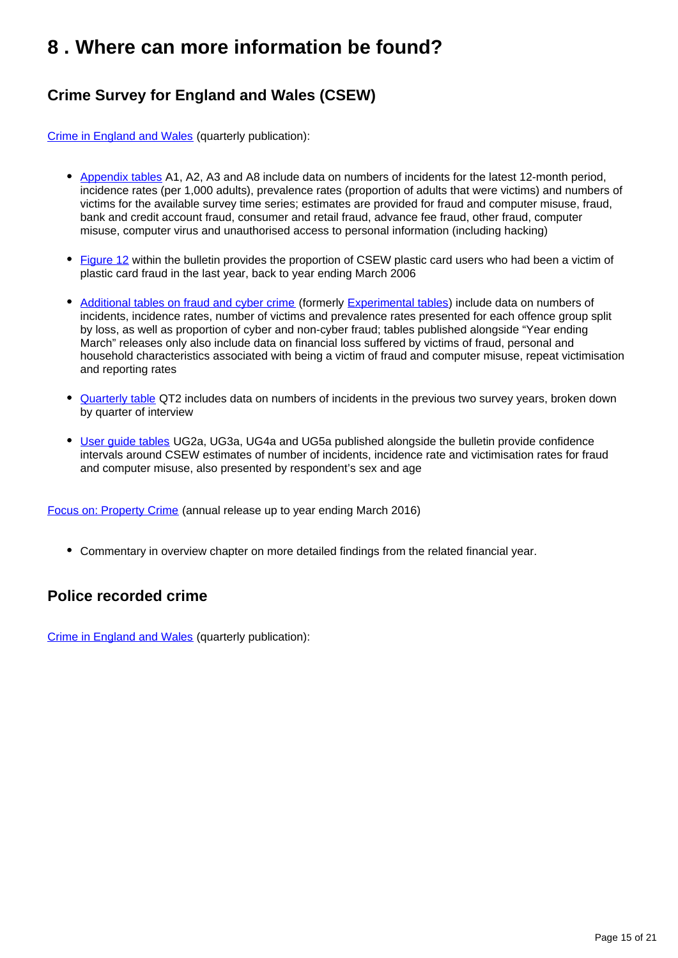## <span id="page-14-0"></span>**8 . Where can more information be found?**

## **Crime Survey for England and Wales (CSEW)**

[Crime in England and Wales](https://www.ons.gov.uk/peoplepopulationandcommunity/crimeandjustice/bulletins/crimeinenglandandwales/previousReleases) (quarterly publication):

- [Appendix tables](https://www.ons.gov.uk/peoplepopulationandcommunity/crimeandjustice/datasets/crimeinenglandandwalesappendixtables) A1, A2, A3 and A8 include data on numbers of incidents for the latest 12-month period, incidence rates (per 1,000 adults), prevalence rates (proportion of adults that were victims) and numbers of victims for the available survey time series; estimates are provided for fraud and computer misuse, fraud, bank and credit account fraud, consumer and retail fraud, advance fee fraud, other fraud, computer misuse, computer virus and unauthorised access to personal information (including hacking)
- [Figure 12](https://www.ons.gov.uk/peoplepopulationandcommunity/crimeandjustice/bulletins/crimeinenglandandwales/previousReleases) within the bulletin provides the proportion of CSEW plastic card users who had been a victim of plastic card fraud in the last year, back to year ending March 2006
- [Additional tables on fraud and cyber crime](https://www.ons.gov.uk/peoplepopulationandcommunity/crimeandjustice/datasets/crimeinenglandandwalesexperimentaltables) (formerly [Experimental tables](https://www.ons.gov.uk/peoplepopulationandcommunity/crimeandjustice/datasets/crimeinenglandandwalesexperimentaltables)) include data on numbers of incidents, incidence rates, number of victims and prevalence rates presented for each offence group split by loss, as well as proportion of cyber and non-cyber fraud; tables published alongside "Year ending March" releases only also include data on financial loss suffered by victims of fraud, personal and household characteristics associated with being a victim of fraud and computer misuse, repeat victimisation and reporting rates
- [Quarterly table](https://www.ons.gov.uk/peoplepopulationandcommunity/crimeandjustice/datasets/crimeinenglandandwalesquarterlydatatables) QT2 includes data on numbers of incidents in the previous two survey years, broken down by quarter of interview
- [User guide tables](https://www.ons.gov.uk/peoplepopulationandcommunity/crimeandjustice/methodologies/crimeandjusticemethodology) UG2a, UG3a, UG4a and UG5a published alongside the bulletin provide confidence intervals around CSEW estimates of number of incidents, incidence rate and victimisation rates for fraud and computer misuse, also presented by respondent's sex and age

[Focus on: Property Crime](https://www.ons.gov.uk/peoplepopulationandcommunity/crimeandjustice/bulletins/focusonpropertycrime/yearendingmarch2016) (annual release up to year ending March 2016)

Commentary in overview chapter on more detailed findings from the related financial year.

## **Police recorded crime**

[Crime in England and Wales](https://www.ons.gov.uk/peoplepopulationandcommunity/crimeandjustice/bulletins/crimeinenglandandwales/previousReleases) (quarterly publication):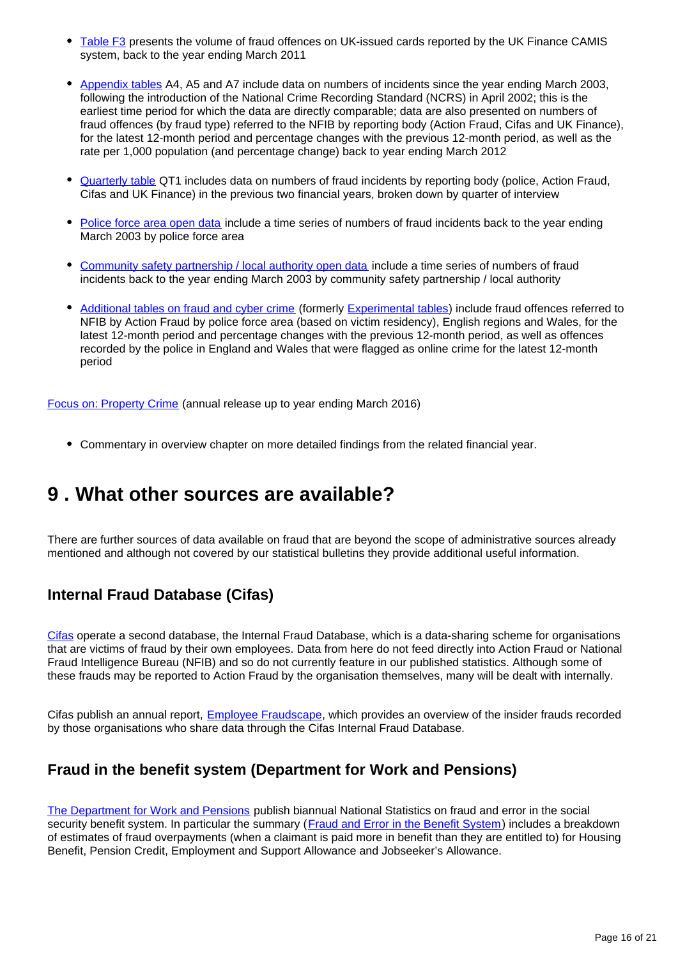- [Table F3](https://www.ons.gov.uk/peoplepopulationandcommunity/crimeandjustice/datasets/crimeinenglandandwalesotherrelatedtables) presents the volume of fraud offences on UK-issued cards reported by the UK Finance CAMIS system, back to the year ending March 2011
- [Appendix tables](https://www.ons.gov.uk/peoplepopulationandcommunity/crimeandjustice/datasets/crimeinenglandandwalesappendixtables) A4, A5 and A7 include data on numbers of incidents since the year ending March 2003, following the introduction of the National Crime Recording Standard (NCRS) in April 2002; this is the earliest time period for which the data are directly comparable; data are also presented on numbers of fraud offences (by fraud type) referred to the NFIB by reporting body (Action Fraud, Cifas and UK Finance), for the latest 12-month period and percentage changes with the previous 12-month period, as well as the rate per 1,000 population (and percentage change) back to year ending March 2012
- [Quarterly table](https://www.ons.gov.uk/peoplepopulationandcommunity/crimeandjustice/datasets/crimeinenglandandwalesquarterlydatatables) QT1 includes data on numbers of fraud incidents by reporting body (police, Action Fraud, Cifas and UK Finance) in the previous two financial years, broken down by quarter of interview
- [Police force area open data](https://www.gov.uk/government/statistics/police-recorded-crime-open-data-tables) include a time series of numbers of fraud incidents back to the year ending March 2003 by police force area
- [Community safety partnership / local authority open data](https://www.ons.gov.uk/peoplepopulationandcommunity/crimeandjustice/datasets/recordedcrimedataatcommunitysafetypartnershiplocalauthoritylevel) include a time series of numbers of fraud incidents back to the year ending March 2003 by community safety partnership / local authority
- [Additional tables on fraud and cyber crime](https://www.ons.gov.uk/peoplepopulationandcommunity/crimeandjustice/datasets/crimeinenglandandwalesexperimentaltables) (formerly [Experimental tables](https://www.ons.gov.uk/peoplepopulationandcommunity/crimeandjustice/datasets/crimeinenglandandwalesexperimentaltables)) include fraud offences referred to NFIB by Action Fraud by police force area (based on victim residency), English regions and Wales, for the latest 12-month period and percentage changes with the previous 12-month period, as well as offences recorded by the police in England and Wales that were flagged as online crime for the latest 12-month period

[Focus on: Property Crime](https://www.ons.gov.uk/peoplepopulationandcommunity/crimeandjustice/bulletins/focusonpropertycrime/yearendingmarch2016) (annual release up to year ending March 2016)

Commentary in overview chapter on more detailed findings from the related financial year.

## <span id="page-15-0"></span>**9 . What other sources are available?**

There are further sources of data available on fraud that are beyond the scope of administrative sources already mentioned and although not covered by our statistical bulletins they provide additional useful information.

## **Internal Fraud Database (Cifas)**

[Cifas](https://www.cifas.org.uk/) operate a second database, the Internal Fraud Database, which is a data-sharing scheme for organisations that are victims of fraud by their own employees. Data from here do not feed directly into Action Fraud or National Fraud Intelligence Bureau (NFIB) and so do not currently feature in our published statistics. Although some of these frauds may be reported to Action Fraud by the organisation themselves, many will be dealt with internally.

Cifas publish an annual report, **Employee Fraudscape**, which provides an overview of the insider frauds recorded by those organisations who share data through the Cifas Internal Fraud Database.

## **Fraud in the benefit system (Department for Work and Pensions)**

[The Department for Work and Pensions](https://www.gov.uk/government/organisations/department-for-work-pensions) publish biannual National Statistics on fraud and error in the social security benefit system. In particular the summary ([Fraud and Error in the Benefit System\)](https://www.gov.uk/government/collections/fraud-and-error-in-the-benefit-system) includes a breakdown of estimates of fraud overpayments (when a claimant is paid more in benefit than they are entitled to) for Housing Benefit, Pension Credit, Employment and Support Allowance and Jobseeker's Allowance.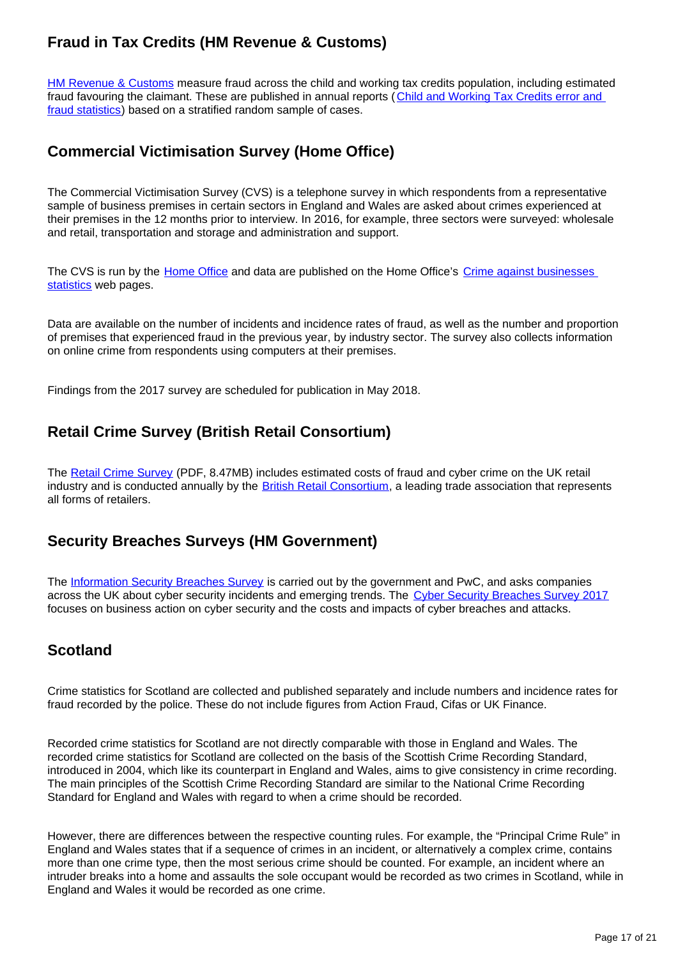## **Fraud in Tax Credits (HM Revenue & Customs)**

[HM Revenue & Customs](https://www.gov.uk/government/organisations/hm-revenue-customs) measure fraud across the child and working tax credits population, including estimated fraud favouring the claimant. These are published in annual reports ([Child and Working Tax Credits error and](https://www.gov.uk/government/statistics/child-and-working-tax-credits-annual-error-and-fraud-statistics-2015-to-2016)  [fraud statistics\)](https://www.gov.uk/government/statistics/child-and-working-tax-credits-annual-error-and-fraud-statistics-2015-to-2016) based on a stratified random sample of cases.

## **Commercial Victimisation Survey (Home Office)**

The Commercial Victimisation Survey (CVS) is a telephone survey in which respondents from a representative sample of business premises in certain sectors in England and Wales are asked about crimes experienced at their premises in the 12 months prior to interview. In 2016, for example, three sectors were surveyed: wholesale and retail, transportation and storage and administration and support.

The CVS is run by the [Home Office](https://www.gov.uk/government/organisations/home-office) and data are published on the Home Office's [Crime against businesses](https://www.gov.uk/government/statistics/crime-against-businesses-findings-from-the-2016-commercial-victimisation-survey)  [statistics](https://www.gov.uk/government/statistics/crime-against-businesses-findings-from-the-2016-commercial-victimisation-survey) web pages.

Data are available on the number of incidents and incidence rates of fraud, as well as the number and proportion of premises that experienced fraud in the previous year, by industry sector. The survey also collects information on online crime from respondents using computers at their premises.

Findings from the 2017 survey are scheduled for publication in May 2018.

## **Retail Crime Survey (British Retail Consortium)**

The [Retail Crime Survey](https://brc.org.uk/media/116322/10081-brc-retail-crime-survey-2016_v6.pdf) (PDF, 8.47MB) includes estimated costs of fraud and cyber crime on the UK retail industry and is conducted annually by the **British Retail Consortium**, a leading trade association that represents all forms of retailers.

## **Security Breaches Surveys (HM Government)**

The [Information Security Breaches Survey](https://www.gov.uk/government/publications/information-security-breaches-survey-2015) is carried out by the government and PwC, and asks companies across the UK about cyber security incidents and emerging trends. The [Cyber Security Breaches Survey 2017](https://www.gov.uk/government/statistics/cyber-security-breaches-survey-2017) focuses on business action on cyber security and the costs and impacts of cyber breaches and attacks.

## **Scotland**

Crime statistics for Scotland are collected and published separately and include numbers and incidence rates for fraud recorded by the police. These do not include figures from Action Fraud, Cifas or UK Finance.

Recorded crime statistics for Scotland are not directly comparable with those in England and Wales. The recorded crime statistics for Scotland are collected on the basis of the Scottish Crime Recording Standard, introduced in 2004, which like its counterpart in England and Wales, aims to give consistency in crime recording. The main principles of the Scottish Crime Recording Standard are similar to the National Crime Recording Standard for England and Wales with regard to when a crime should be recorded.

However, there are differences between the respective counting rules. For example, the "Principal Crime Rule" in England and Wales states that if a sequence of crimes in an incident, or alternatively a complex crime, contains more than one crime type, then the most serious crime should be counted. For example, an incident where an intruder breaks into a home and assaults the sole occupant would be recorded as two crimes in Scotland, while in England and Wales it would be recorded as one crime.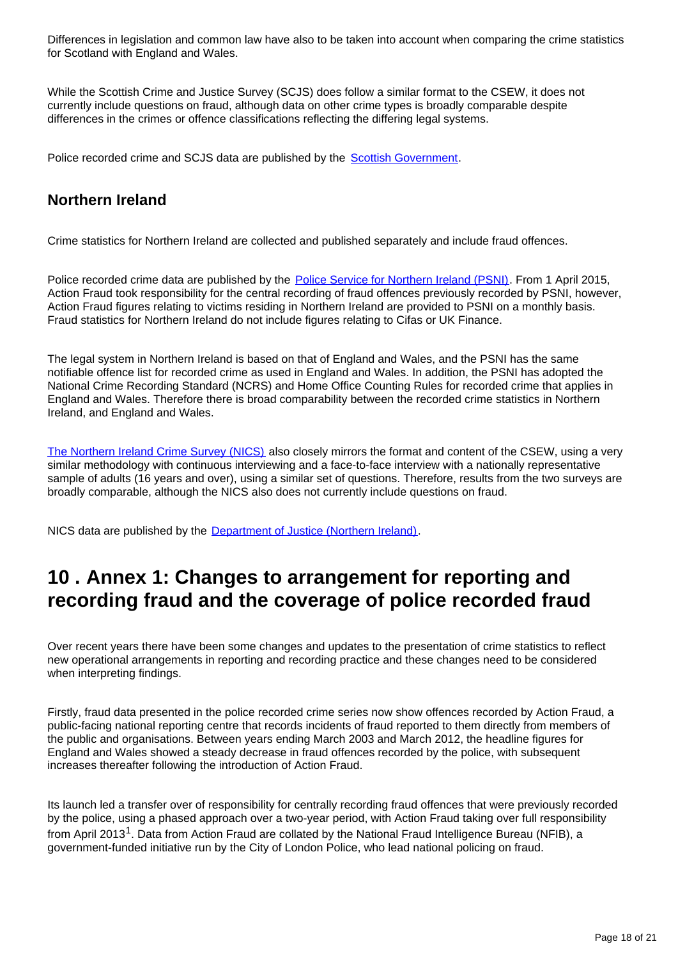Differences in legislation and common law have also to be taken into account when comparing the crime statistics for Scotland with England and Wales.

While the Scottish Crime and Justice Survey (SCJS) does follow a similar format to the CSEW, it does not currently include questions on fraud, although data on other crime types is broadly comparable despite differences in the crimes or offence classifications reflecting the differing legal systems.

Police recorded crime and SCJS data are published by the [Scottish Government](http://www.gov.scot/Topics/Statistics/Browse/Crime-Justice).

## **Northern Ireland**

Crime statistics for Northern Ireland are collected and published separately and include fraud offences.

Police recorded crime data are published by the [Police Service for Northern Ireland \(PSNI\)](http://www.psni.police.uk/index/updates/updates_statistics.htm). From 1 April 2015, Action Fraud took responsibility for the central recording of fraud offences previously recorded by PSNI, however, Action Fraud figures relating to victims residing in Northern Ireland are provided to PSNI on a monthly basis. Fraud statistics for Northern Ireland do not include figures relating to Cifas or UK Finance.

The legal system in Northern Ireland is based on that of England and Wales, and the PSNI has the same notifiable offence list for recorded crime as used in England and Wales. In addition, the PSNI has adopted the National Crime Recording Standard (NCRS) and Home Office Counting Rules for recorded crime that applies in England and Wales. Therefore there is broad comparability between the recorded crime statistics in Northern Ireland, and England and Wales.

[The Northern Ireland Crime Survey \(NICS\)](https://www.justice-ni.gov.uk/articles/northern-ireland-crime-survey) also closely mirrors the format and content of the CSEW, using a very similar methodology with continuous interviewing and a face-to-face interview with a nationally representative sample of adults (16 years and over), using a similar set of questions. Therefore, results from the two surveys are broadly comparable, although the NICS also does not currently include questions on fraud.

NICS data are published by the [Department of Justice \(Northern Ireland\).](https://www.justice-ni.gov.uk/)

## <span id="page-17-0"></span>**10 . Annex 1: Changes to arrangement for reporting and recording fraud and the coverage of police recorded fraud**

Over recent years there have been some changes and updates to the presentation of crime statistics to reflect new operational arrangements in reporting and recording practice and these changes need to be considered when interpreting findings.

Firstly, fraud data presented in the police recorded crime series now show offences recorded by Action Fraud, a public-facing national reporting centre that records incidents of fraud reported to them directly from members of the public and organisations. Between years ending March 2003 and March 2012, the headline figures for England and Wales showed a steady decrease in fraud offences recorded by the police, with subsequent increases thereafter following the introduction of Action Fraud.

Its launch led a transfer over of responsibility for centrally recording fraud offences that were previously recorded by the police, using a phased approach over a two-year period, with Action Fraud taking over full responsibility from April 2013<sup>1</sup>. Data from Action Fraud are collated by the National Fraud Intelligence Bureau (NFIB), a government-funded initiative run by the City of London Police, who lead national policing on fraud.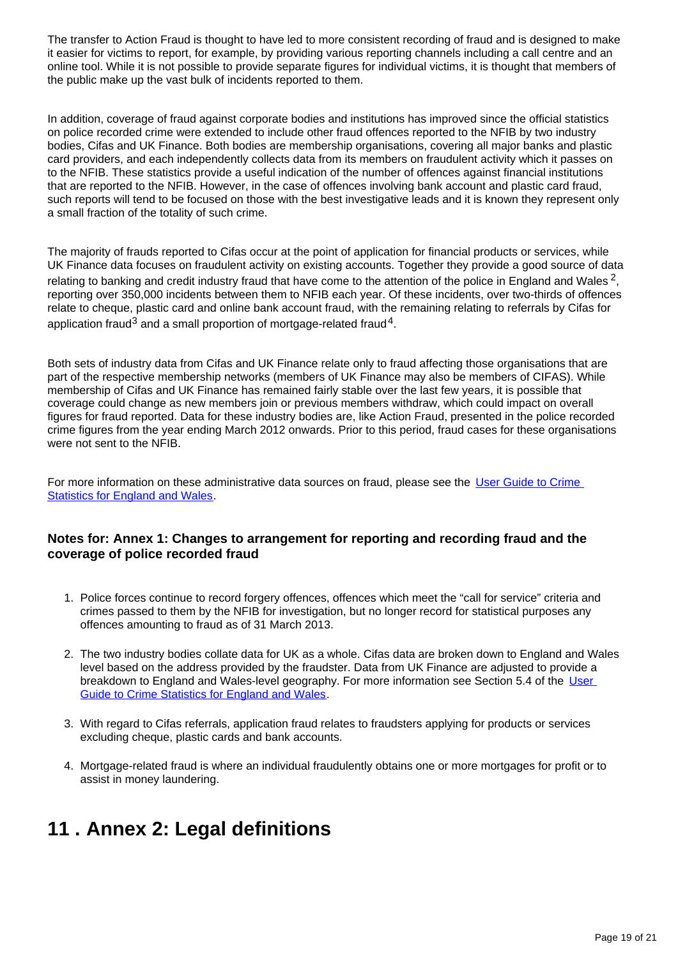The transfer to Action Fraud is thought to have led to more consistent recording of fraud and is designed to make it easier for victims to report, for example, by providing various reporting channels including a call centre and an online tool. While it is not possible to provide separate figures for individual victims, it is thought that members of the public make up the vast bulk of incidents reported to them.

In addition, coverage of fraud against corporate bodies and institutions has improved since the official statistics on police recorded crime were extended to include other fraud offences reported to the NFIB by two industry bodies, Cifas and UK Finance. Both bodies are membership organisations, covering all major banks and plastic card providers, and each independently collects data from its members on fraudulent activity which it passes on to the NFIB. These statistics provide a useful indication of the number of offences against financial institutions that are reported to the NFIB. However, in the case of offences involving bank account and plastic card fraud, such reports will tend to be focused on those with the best investigative leads and it is known they represent only a small fraction of the totality of such crime.

The majority of frauds reported to Cifas occur at the point of application for financial products or services, while UK Finance data focuses on fraudulent activity on existing accounts. Together they provide a good source of data relating to banking and credit industry fraud that have come to the attention of the police in England and Wales  $^2$ , reporting over 350,000 incidents between them to NFIB each year. Of these incidents, over two-thirds of offences relate to cheque, plastic card and online bank account fraud, with the remaining relating to referrals by Cifas for application fraud<sup>3</sup> and a small proportion of mortgage-related fraud<sup>4</sup>.

Both sets of industry data from Cifas and UK Finance relate only to fraud affecting those organisations that are part of the respective membership networks (members of UK Finance may also be members of CIFAS). While membership of Cifas and UK Finance has remained fairly stable over the last few years, it is possible that coverage could change as new members join or previous members withdraw, which could impact on overall figures for fraud reported. Data for these industry bodies are, like Action Fraud, presented in the police recorded crime figures from the year ending March 2012 onwards. Prior to this period, fraud cases for these organisations were not sent to the NFIB.

For more information on these administrative data sources on fraud, please see the [User Guide to Crime](https://www.ons.gov.uk/peoplepopulationandcommunity/crimeandjustice/methodologies/crimeandjusticemethodology)  [Statistics for England and Wales](https://www.ons.gov.uk/peoplepopulationandcommunity/crimeandjustice/methodologies/crimeandjusticemethodology).

#### **Notes for: Annex 1: Changes to arrangement for reporting and recording fraud and the coverage of police recorded fraud**

- 1. Police forces continue to record forgery offences, offences which meet the "call for service" criteria and crimes passed to them by the NFIB for investigation, but no longer record for statistical purposes any offences amounting to fraud as of 31 March 2013.
- 2. The two industry bodies collate data for UK as a whole. Cifas data are broken down to England and Wales level based on the address provided by the fraudster. Data from UK Finance are adjusted to provide a breakdown to England and Wales-level geography. For more information see Section 5.4 of the [User](https://www.ons.gov.uk/peoplepopulationandcommunity/crimeandjustice/methodologies/crimeandjusticemethodology)  [Guide to Crime Statistics for England and Wales.](https://www.ons.gov.uk/peoplepopulationandcommunity/crimeandjustice/methodologies/crimeandjusticemethodology)
- 3. With regard to Cifas referrals, application fraud relates to fraudsters applying for products or services excluding cheque, plastic cards and bank accounts.
- 4. Mortgage-related fraud is where an individual fraudulently obtains one or more mortgages for profit or to assist in money laundering.

## <span id="page-18-0"></span>**11 . Annex 2: Legal definitions**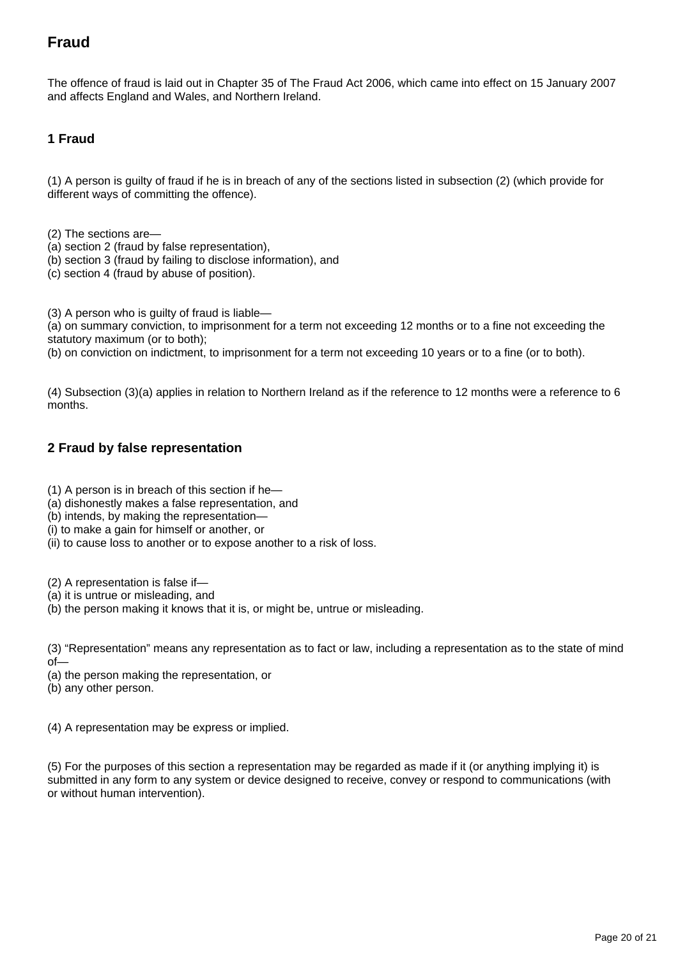## **Fraud**

The offence of fraud is laid out in Chapter 35 of The Fraud Act 2006, which came into effect on 15 January 2007 and affects England and Wales, and Northern Ireland.

### **1 Fraud**

(1) A person is guilty of fraud if he is in breach of any of the sections listed in subsection (2) (which provide for different ways of committing the offence).

(2) The sections are—

- (a) section 2 (fraud by false representation),
- (b) section 3 (fraud by failing to disclose information), and
- (c) section 4 (fraud by abuse of position).

(3) A person who is guilty of fraud is liable—

(a) on summary conviction, to imprisonment for a term not exceeding 12 months or to a fine not exceeding the statutory maximum (or to both);

(b) on conviction on indictment, to imprisonment for a term not exceeding 10 years or to a fine (or to both).

(4) Subsection (3)(a) applies in relation to Northern Ireland as if the reference to 12 months were a reference to 6 months.

#### **2 Fraud by false representation**

- (1) A person is in breach of this section if he—
- (a) dishonestly makes a false representation, and
- (b) intends, by making the representation—
- (i) to make a gain for himself or another, or
- (ii) to cause loss to another or to expose another to a risk of loss.

(2) A representation is false if—

(a) it is untrue or misleading, and

(b) the person making it knows that it is, or might be, untrue or misleading.

(3) "Representation" means any representation as to fact or law, including a representation as to the state of mind of—

(a) the person making the representation, or

(b) any other person.

(4) A representation may be express or implied.

(5) For the purposes of this section a representation may be regarded as made if it (or anything implying it) is submitted in any form to any system or device designed to receive, convey or respond to communications (with or without human intervention).